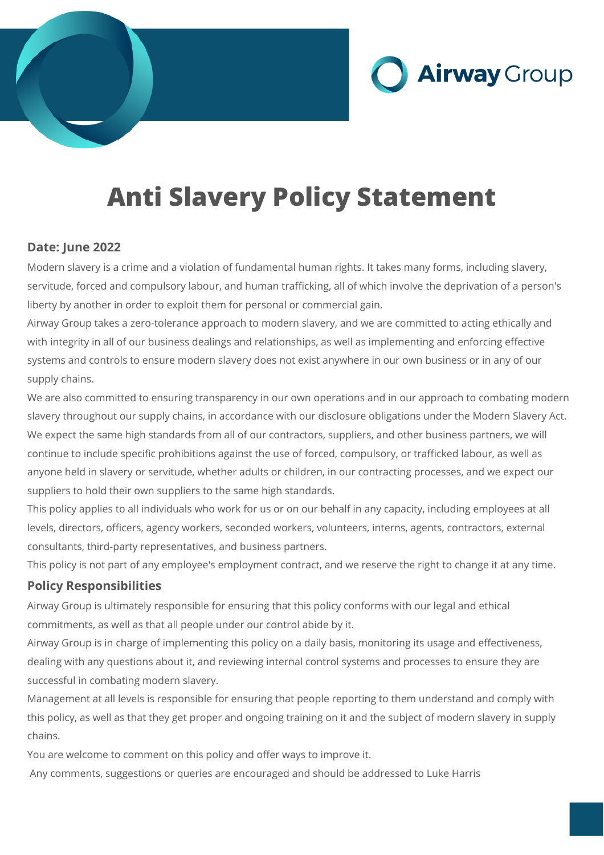

# **Anti Slavery Policy Statement**

## **Date: June 2022**

Modern slavery is a crime and a violation of fundamental human rights. It takes many forms, including slavery, servitude, forced and compulsory labour, and human trafficking, all of which involve the deprivation of a person's liberty by another in order to exploit them for personal or commercial gain.

Airway Group takes a zero-tolerance approach to modern slavery, and we are committed to acting ethically and with integrity in all of our business dealings and relationships, as well as implementing and enforcing effective systems and controls to ensure modern slavery does not exist anywhere in our own business or in any of our supply chains.

We are also committed to ensuring transparency in our own operations and in our approach to combating modern slavery throughout our supply chains, in accordance with our disclosure obligations under the Modern Slavery Act. We expect the same high standards from all of our contractors, suppliers, and other business partners, we will continue to include specific prohibitions against the use of forced, compulsory, or trafficked labour, as well as anyone held in slavery or servitude, whether adults or children, in our contracting processes, and we expect our suppliers to hold their own suppliers to the same high standards.

This policy applies to all individuals who work for us or on our behalf in any capacity, including employees at all levels, directors, officers, agency workers, seconded workers, volunteers, interns, agents, contractors, external consultants, third-party representatives, and business partners.

This policy is not part of any employee's employment contract, and we reserve the right to change it at any time.

## **Policy Responsibilities**

Airway Group is ultimately responsible for ensuring that this policy conforms with our legal and ethical commitments, as well as that all people under our control abide by it.

Airway Group is in charge of implementing this policy on a daily basis, monitoring its usage and effectiveness, dealing with any questions about it, and reviewing internal control systems and processes to ensure they are successful in combating modern slavery.

Management at all levels is responsible for ensuring that people reporting to them understand and comply with this policy, as well as that they get proper and ongoing training on it and the subject of modern slavery in supply chains.

You are welcome to comment on this policy and offer ways to improve it.

Any comments, suggestions or queries are encouraged and should be addressed to Luke Harris